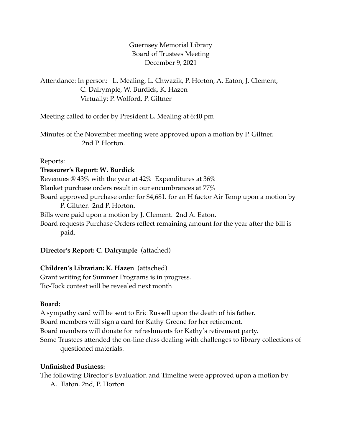Guernsey Memorial Library Board of Trustees Meeting December 9, 2021

Attendance: In person: L. Mealing, L. Chwazik, P. Horton, A. Eaton, J. Clement, C. Dalrymple, W. Burdick, K. Hazen Virtually: P. Wolford, P. Giltner

Meeting called to order by President L. Mealing at 6:40 pm

Minutes of the November meeting were approved upon a motion by P. Giltner. 2nd P. Horton.

Reports:

### **Treasurer's Report: W. Burdick**

Revenues @ 43% with the year at 42% Expenditures at 36% Blanket purchase orders result in our encumbrances at 77% Board approved purchase order for \$4,681. for an H factor Air Temp upon a motion by P. Giltner. 2nd P. Horton. Bills were paid upon a motion by J. Clement. 2nd A. Eaton. Board requests Purchase Orders reflect remaining amount for the year after the bill is paid.

## **Director's Report: C. Dalrymple** (attached)

## **Children's Librarian: K. Hazen** (attached)

Grant writing for Summer Programs is in progress. Tic-Tock contest will be revealed next month

## **Board:**

A sympathy card will be sent to Eric Russell upon the death of his father. Board members will sign a card for Kathy Greene for her retirement. Board members will donate for refreshments for Kathy's retirement party. Some Trustees attended the on-line class dealing with challenges to library collections of questioned materials.

## **Unfinished Business:**

The following Director's Evaluation and Timeline were approved upon a motion by

A. Eaton. 2nd, P. Horton